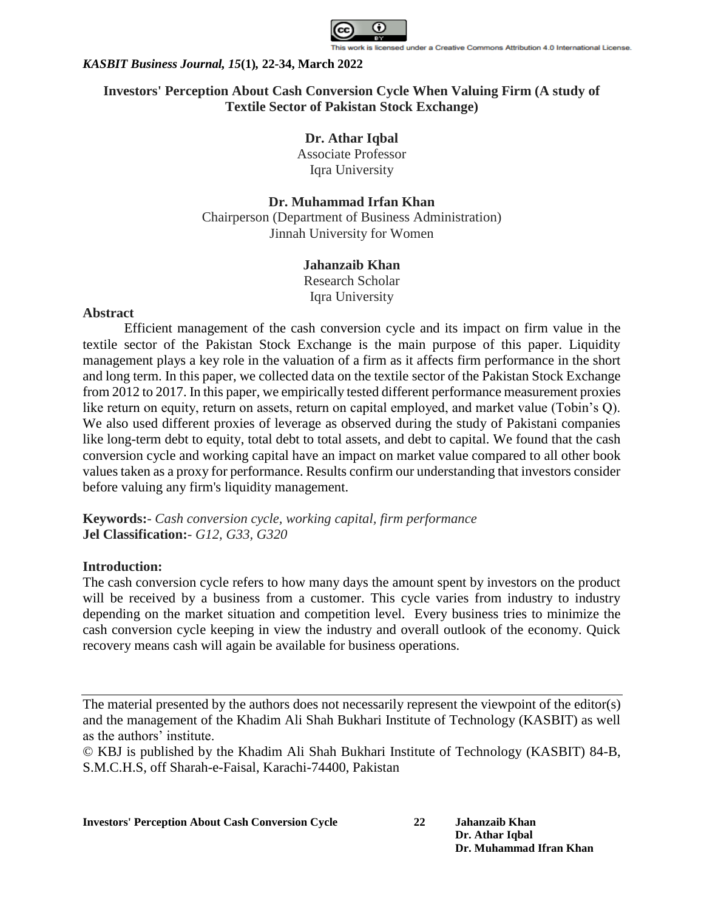

# **Investors' Perception About Cash Conversion Cycle When Valuing Firm (A study of Textile Sector of Pakistan Stock Exchange)**

# **Dr. Athar Iqbal**

Associate Professor Iqra University

# **Dr. Muhammad Irfan Khan**

Chairperson (Department of Business Administration) Jinnah University for Women

## **Jahanzaib Khan**

Research Scholar Iqra University

### **Abstract**

Efficient management of the cash conversion cycle and its impact on firm value in the textile sector of the Pakistan Stock Exchange is the main purpose of this paper. Liquidity management plays a key role in the valuation of a firm as it affects firm performance in the short and long term. In this paper, we collected data on the textile sector of the Pakistan Stock Exchange from 2012 to 2017. In this paper, we empirically tested different performance measurement proxies like return on equity, return on assets, return on capital employed, and market value (Tobin's Q). We also used different proxies of leverage as observed during the study of Pakistani companies like long-term debt to equity, total debt to total assets, and debt to capital. We found that the cash conversion cycle and working capital have an impact on market value compared to all other book values taken as a proxy for performance. Results confirm our understanding that investors consider before valuing any firm's liquidity management.

**Keywords:**- *Cash conversion cycle, working capital, firm performance* **Jel Classification:**- *G12, G33, G320*

## **Introduction:**

The cash conversion cycle refers to how many days the amount spent by investors on the product will be received by a business from a customer. This cycle varies from industry to industry depending on the market situation and competition level. Every business tries to minimize the cash conversion cycle keeping in view the industry and overall outlook of the economy. Quick recovery means cash will again be available for business operations.

The material presented by the authors does not necessarily represent the viewpoint of the editor(s) and the management of the Khadim Ali Shah Bukhari Institute of Technology (KASBIT) as well as the authors' institute.

© KBJ is published by the Khadim Ali Shah Bukhari Institute of Technology (KASBIT) 84-B, S.M.C.H.S, off Sharah-e-Faisal, Karachi-74400, Pakistan

**Investors' Perception About Cash Conversion Cycle 22 Jahanzaib Khan**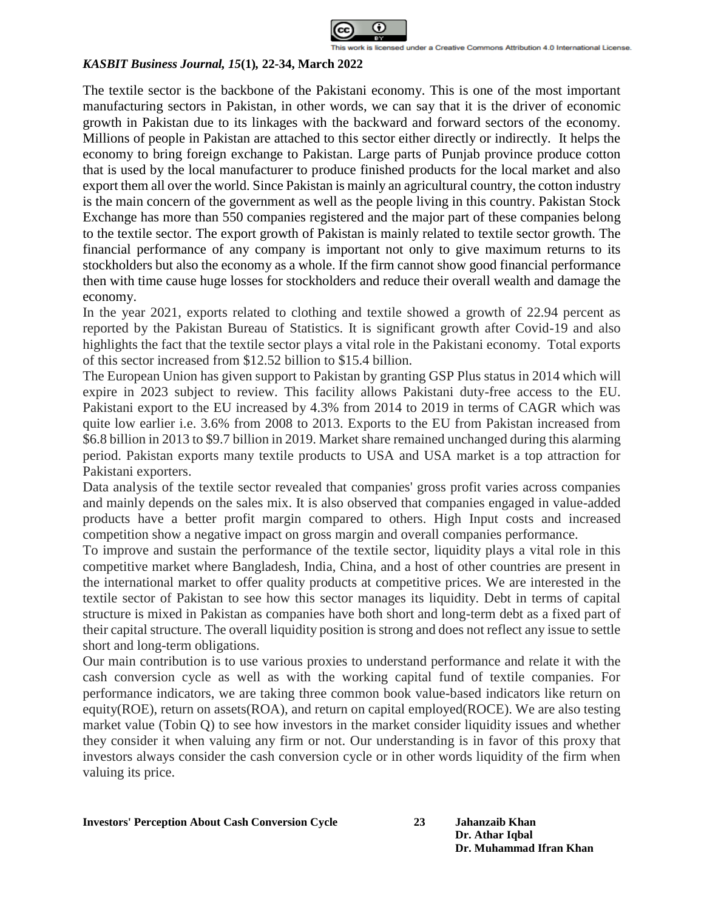

The textile sector is the backbone of the Pakistani economy. This is one of the most important manufacturing sectors in Pakistan, in other words, we can say that it is the driver of economic growth in Pakistan due to its linkages with the backward and forward sectors of the economy. Millions of people in Pakistan are attached to this sector either directly or indirectly. It helps the economy to bring foreign exchange to Pakistan. Large parts of Punjab province produce cotton that is used by the local manufacturer to produce finished products for the local market and also export them all over the world. Since Pakistan is mainly an agricultural country, the cotton industry is the main concern of the government as well as the people living in this country. Pakistan Stock Exchange has more than 550 companies registered and the major part of these companies belong to the textile sector. The export growth of Pakistan is mainly related to textile sector growth. The financial performance of any company is important not only to give maximum returns to its stockholders but also the economy as a whole. If the firm cannot show good financial performance then with time cause huge losses for stockholders and reduce their overall wealth and damage the economy.

In the year 2021, exports related to clothing and textile showed a growth of 22.94 percent as reported by the Pakistan Bureau of Statistics. It is significant growth after Covid-19 and also highlights the fact that the textile sector plays a vital role in the Pakistani economy. Total exports of this sector increased from \$12.52 billion to \$15.4 billion.

The European Union has given support to Pakistan by granting GSP Plus status in 2014 which will expire in 2023 subject to review. This facility allows Pakistani duty-free access to the EU. Pakistani export to the EU increased by 4.3% from 2014 to 2019 in terms of CAGR which was quite low earlier i.e. 3.6% from 2008 to 2013. Exports to the EU from Pakistan increased from \$6.8 billion in 2013 to \$9.7 billion in 2019. Market share remained unchanged during this alarming period. Pakistan exports many textile products to USA and USA market is a top attraction for Pakistani exporters.

Data analysis of the textile sector revealed that companies' gross profit varies across companies and mainly depends on the sales mix. It is also observed that companies engaged in value-added products have a better profit margin compared to others. High Input costs and increased competition show a negative impact on gross margin and overall companies performance.

To improve and sustain the performance of the textile sector, liquidity plays a vital role in this competitive market where Bangladesh, India, China, and a host of other countries are present in the international market to offer quality products at competitive prices. We are interested in the textile sector of Pakistan to see how this sector manages its liquidity. Debt in terms of capital structure is mixed in Pakistan as companies have both short and long-term debt as a fixed part of their capital structure. The overall liquidity position is strong and does not reflect any issue to settle short and long-term obligations.

Our main contribution is to use various proxies to understand performance and relate it with the cash conversion cycle as well as with the working capital fund of textile companies. For performance indicators, we are taking three common book value-based indicators like return on equity(ROE), return on assets(ROA), and return on capital employed(ROCE). We are also testing market value (Tobin Q) to see how investors in the market consider liquidity issues and whether they consider it when valuing any firm or not. Our understanding is in favor of this proxy that investors always consider the cash conversion cycle or in other words liquidity of the firm when valuing its price.

**Investors' Perception About Cash Conversion Cycle 23 Jahanzaib Khan**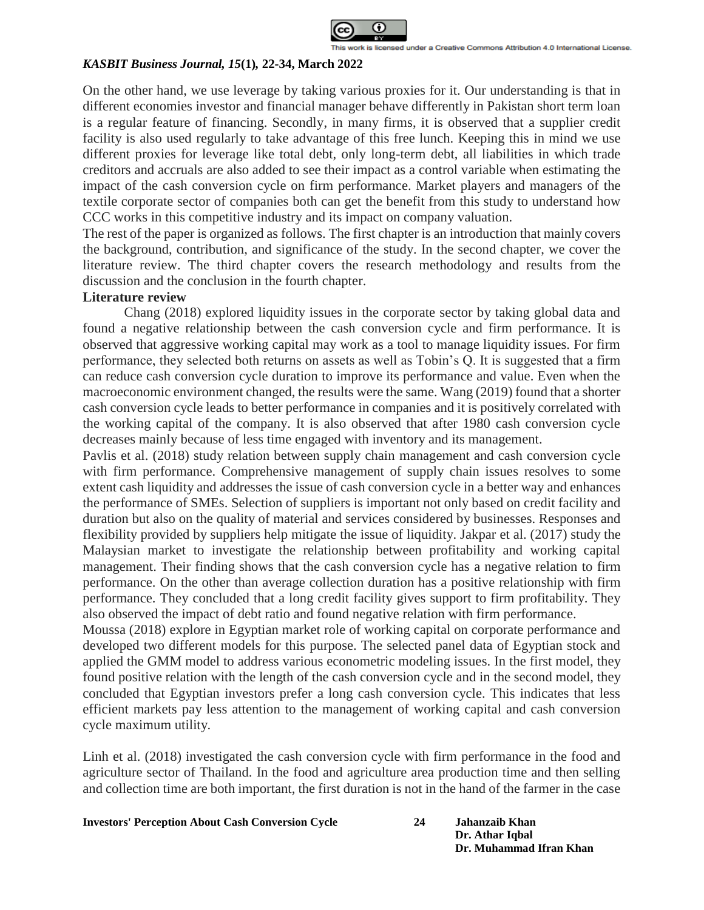

On the other hand, we use leverage by taking various proxies for it. Our understanding is that in different economies investor and financial manager behave differently in Pakistan short term loan is a regular feature of financing. Secondly, in many firms, it is observed that a supplier credit facility is also used regularly to take advantage of this free lunch. Keeping this in mind we use different proxies for leverage like total debt, only long-term debt, all liabilities in which trade creditors and accruals are also added to see their impact as a control variable when estimating the impact of the cash conversion cycle on firm performance. Market players and managers of the textile corporate sector of companies both can get the benefit from this study to understand how CCC works in this competitive industry and its impact on company valuation.

The rest of the paper is organized as follows. The first chapter is an introduction that mainly covers the background, contribution, and significance of the study. In the second chapter, we cover the literature review. The third chapter covers the research methodology and results from the discussion and the conclusion in the fourth chapter.

## **Literature review**

Chang (2018) explored liquidity issues in the corporate sector by taking global data and found a negative relationship between the cash conversion cycle and firm performance. It is observed that aggressive working capital may work as a tool to manage liquidity issues. For firm performance, they selected both returns on assets as well as Tobin's Q. It is suggested that a firm can reduce cash conversion cycle duration to improve its performance and value. Even when the macroeconomic environment changed, the results were the same. Wang (2019) found that a shorter cash conversion cycle leads to better performance in companies and it is positively correlated with the working capital of the company. It is also observed that after 1980 cash conversion cycle decreases mainly because of less time engaged with inventory and its management.

Pavlis et al. (2018) study relation between supply chain management and cash conversion cycle with firm performance. Comprehensive management of supply chain issues resolves to some extent cash liquidity and addresses the issue of cash conversion cycle in a better way and enhances the performance of SMEs. Selection of suppliers is important not only based on credit facility and duration but also on the quality of material and services considered by businesses. Responses and flexibility provided by suppliers help mitigate the issue of liquidity. Jakpar et al. (2017) study the Malaysian market to investigate the relationship between profitability and working capital management. Their finding shows that the cash conversion cycle has a negative relation to firm performance. On the other than average collection duration has a positive relationship with firm performance. They concluded that a long credit facility gives support to firm profitability. They also observed the impact of debt ratio and found negative relation with firm performance.

Moussa (2018) explore in Egyptian market role of working capital on corporate performance and developed two different models for this purpose. The selected panel data of Egyptian stock and applied the GMM model to address various econometric modeling issues. In the first model, they found positive relation with the length of the cash conversion cycle and in the second model, they concluded that Egyptian investors prefer a long cash conversion cycle. This indicates that less efficient markets pay less attention to the management of working capital and cash conversion cycle maximum utility.

Linh et al. (2018) investigated the cash conversion cycle with firm performance in the food and agriculture sector of Thailand. In the food and agriculture area production time and then selling and collection time are both important, the first duration is not in the hand of the farmer in the case

**Investors' Perception About Cash Conversion Cycle 24 Jahanzaib Khan**

```
Dr. Athar Iqbal
Dr. Muhammad Ifran Khan
```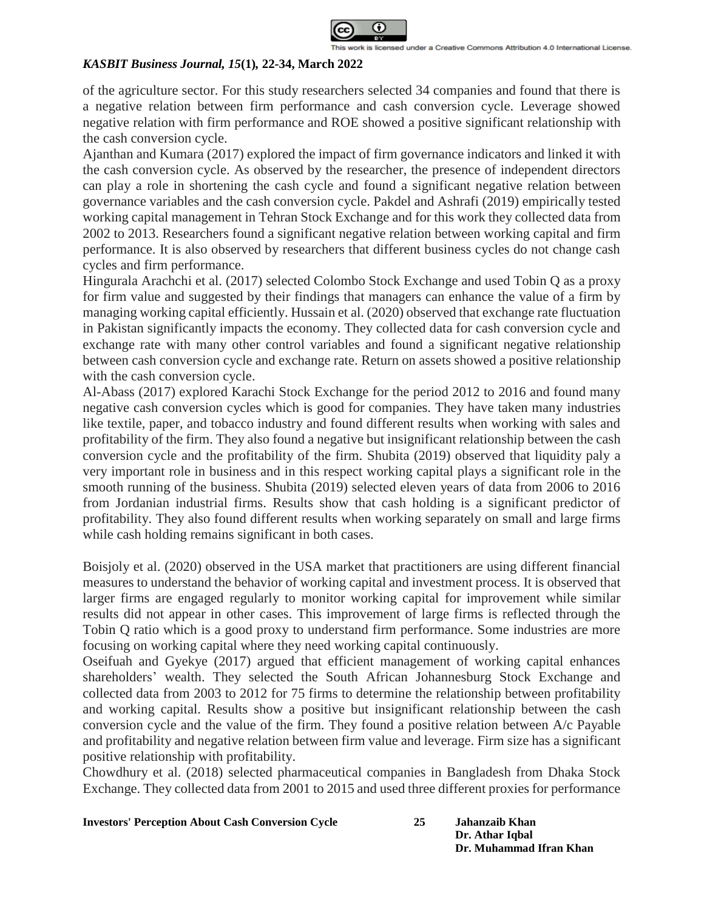

of the agriculture sector. For this study researchers selected 34 companies and found that there is a negative relation between firm performance and cash conversion cycle. Leverage showed negative relation with firm performance and ROE showed a positive significant relationship with the cash conversion cycle.

Ajanthan and Kumara (2017) explored the impact of firm governance indicators and linked it with the cash conversion cycle. As observed by the researcher, the presence of independent directors can play a role in shortening the cash cycle and found a significant negative relation between governance variables and the cash conversion cycle. Pakdel and Ashrafi (2019) empirically tested working capital management in Tehran Stock Exchange and for this work they collected data from 2002 to 2013. Researchers found a significant negative relation between working capital and firm performance. It is also observed by researchers that different business cycles do not change cash cycles and firm performance.

Hingurala Arachchi et al. (2017) selected Colombo Stock Exchange and used Tobin Q as a proxy for firm value and suggested by their findings that managers can enhance the value of a firm by managing working capital efficiently. Hussain et al. (2020) observed that exchange rate fluctuation in Pakistan significantly impacts the economy. They collected data for cash conversion cycle and exchange rate with many other control variables and found a significant negative relationship between cash conversion cycle and exchange rate. Return on assets showed a positive relationship with the cash conversion cycle.

Al-Abass (2017) explored Karachi Stock Exchange for the period 2012 to 2016 and found many negative cash conversion cycles which is good for companies. They have taken many industries like textile, paper, and tobacco industry and found different results when working with sales and profitability of the firm. They also found a negative but insignificant relationship between the cash conversion cycle and the profitability of the firm. Shubita (2019) observed that liquidity paly a very important role in business and in this respect working capital plays a significant role in the smooth running of the business. Shubita (2019) selected eleven years of data from 2006 to 2016 from Jordanian industrial firms. Results show that cash holding is a significant predictor of profitability. They also found different results when working separately on small and large firms while cash holding remains significant in both cases.

Boisjoly et al. (2020) observed in the USA market that practitioners are using different financial measures to understand the behavior of working capital and investment process. It is observed that larger firms are engaged regularly to monitor working capital for improvement while similar results did not appear in other cases. This improvement of large firms is reflected through the Tobin Q ratio which is a good proxy to understand firm performance. Some industries are more focusing on working capital where they need working capital continuously.

Oseifuah and Gyekye (2017) argued that efficient management of working capital enhances shareholders' wealth. They selected the South African Johannesburg Stock Exchange and collected data from 2003 to 2012 for 75 firms to determine the relationship between profitability and working capital. Results show a positive but insignificant relationship between the cash conversion cycle and the value of the firm. They found a positive relation between A/c Payable and profitability and negative relation between firm value and leverage. Firm size has a significant positive relationship with profitability.

Chowdhury et al. (2018) selected pharmaceutical companies in Bangladesh from Dhaka Stock Exchange. They collected data from 2001 to 2015 and used three different proxies for performance

**Investors' Perception About Cash Conversion Cycle** 

| 25 | Jahanzaib Khan          |
|----|-------------------------|
|    | Dr. Athar Iqbal         |
|    | Dr. Muhammad Ifran Khan |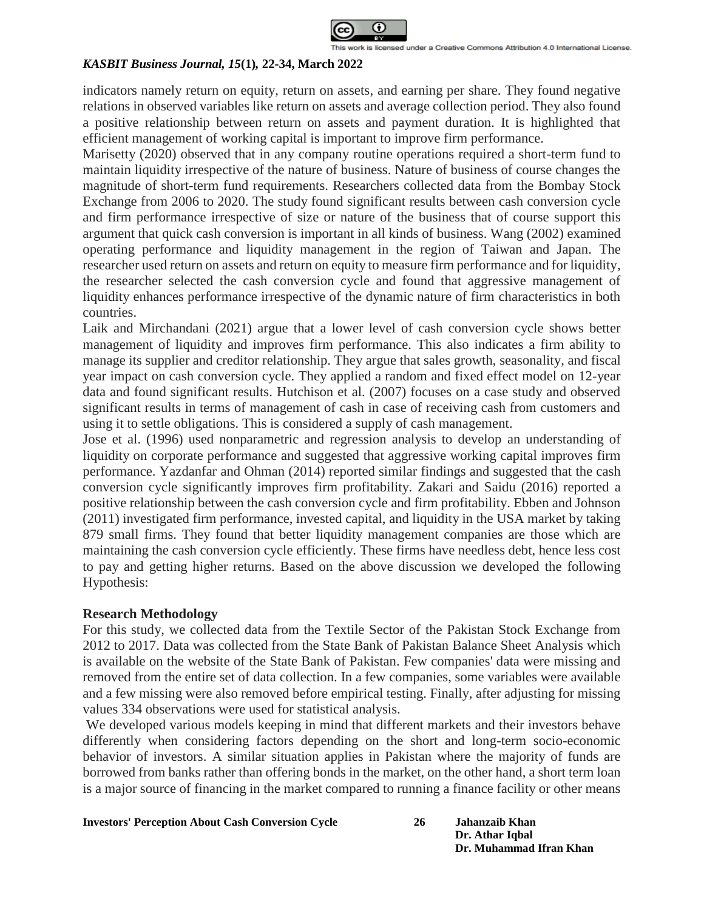

indicators namely return on equity, return on assets, and earning per share. They found negative relations in observed variables like return on assets and average collection period. They also found a positive relationship between return on assets and payment duration. It is highlighted that efficient management of working capital is important to improve firm performance.

Marisetty (2020) observed that in any company routine operations required a short-term fund to maintain liquidity irrespective of the nature of business. Nature of business of course changes the magnitude of short-term fund requirements. Researchers collected data from the Bombay Stock Exchange from 2006 to 2020. The study found significant results between cash conversion cycle and firm performance irrespective of size or nature of the business that of course support this argument that quick cash conversion is important in all kinds of business. Wang (2002) examined operating performance and liquidity management in the region of Taiwan and Japan. The researcher used return on assets and return on equity to measure firm performance and for liquidity, the researcher selected the cash conversion cycle and found that aggressive management of liquidity enhances performance irrespective of the dynamic nature of firm characteristics in both countries.

Laik and Mirchandani (2021) argue that a lower level of cash conversion cycle shows better management of liquidity and improves firm performance. This also indicates a firm ability to manage its supplier and creditor relationship. They argue that sales growth, seasonality, and fiscal year impact on cash conversion cycle. They applied a random and fixed effect model on 12-year data and found significant results. Hutchison et al. (2007) focuses on a case study and observed significant results in terms of management of cash in case of receiving cash from customers and using it to settle obligations. This is considered a supply of cash management.

Jose et al. (1996) used nonparametric and regression analysis to develop an understanding of liquidity on corporate performance and suggested that aggressive working capital improves firm performance. Yazdanfar and Ohman (2014) reported similar findings and suggested that the cash conversion cycle significantly improves firm profitability. Zakari and Saidu (2016) reported a positive relationship between the cash conversion cycle and firm profitability. Ebben and Johnson (2011) investigated firm performance, invested capital, and liquidity in the USA market by taking 879 small firms. They found that better liquidity management companies are those which are maintaining the cash conversion cycle efficiently. These firms have needless debt, hence less cost to pay and getting higher returns. Based on the above discussion we developed the following Hypothesis:

### **Research Methodology**

For this study, we collected data from the Textile Sector of the Pakistan Stock Exchange from 2012 to 2017. Data was collected from the State Bank of Pakistan Balance Sheet Analysis which is available on the website of the State Bank of Pakistan. Few companies' data were missing and removed from the entire set of data collection. In a few companies, some variables were available and a few missing were also removed before empirical testing. Finally, after adjusting for missing values 334 observations were used for statistical analysis.

We developed various models keeping in mind that different markets and their investors behave differently when considering factors depending on the short and long-term socio-economic behavior of investors. A similar situation applies in Pakistan where the majority of funds are borrowed from banks rather than offering bonds in the market, on the other hand, a short term loan is a major source of financing in the market compared to running a finance facility or other means

### **Investors' Perception About Cash Conversion Cycle**

| 26 | Jahanzaib Khan          |
|----|-------------------------|
|    | Dr. Athar Iqbal         |
|    | Dr. Muhammad Ifran Khan |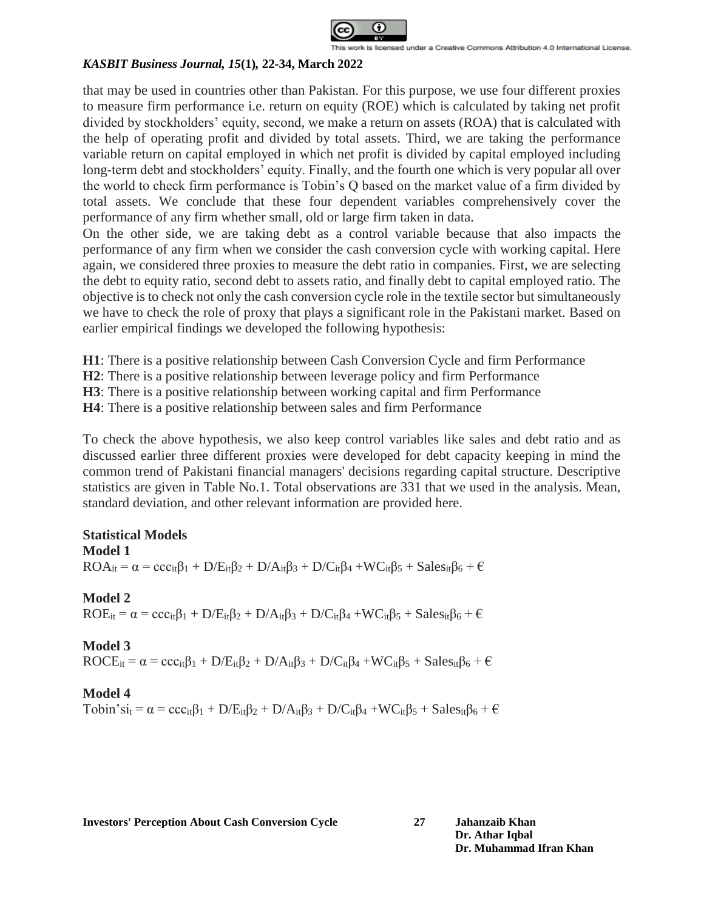

that may be used in countries other than Pakistan. For this purpose, we use four different proxies to measure firm performance i.e. return on equity (ROE) which is calculated by taking net profit divided by stockholders' equity, second, we make a return on assets (ROA) that is calculated with the help of operating profit and divided by total assets. Third, we are taking the performance variable return on capital employed in which net profit is divided by capital employed including long-term debt and stockholders' equity. Finally, and the fourth one which is very popular all over the world to check firm performance is Tobin's Q based on the market value of a firm divided by total assets. We conclude that these four dependent variables comprehensively cover the performance of any firm whether small, old or large firm taken in data.

On the other side, we are taking debt as a control variable because that also impacts the performance of any firm when we consider the cash conversion cycle with working capital. Here again, we considered three proxies to measure the debt ratio in companies. First, we are selecting the debt to equity ratio, second debt to assets ratio, and finally debt to capital employed ratio. The objective is to check not only the cash conversion cycle role in the textile sector but simultaneously we have to check the role of proxy that plays a significant role in the Pakistani market. Based on earlier empirical findings we developed the following hypothesis:

**H1**: There is a positive relationship between Cash Conversion Cycle and firm Performance

**H2**: There is a positive relationship between leverage policy and firm Performance

**H3**: There is a positive relationship between working capital and firm Performance

**H4**: There is a positive relationship between sales and firm Performance

To check the above hypothesis, we also keep control variables like sales and debt ratio and as discussed earlier three different proxies were developed for debt capacity keeping in mind the common trend of Pakistani financial managers' decisions regarding capital structure. Descriptive statistics are given in Table No.1. Total observations are 331 that we used in the analysis. Mean, standard deviation, and other relevant information are provided here.

# **Statistical Models**

### **Model 1**

 $ROA_{it} = \alpha = ccc_{it}\beta_1 + D/E_{it}\beta_2 + D/A_{it}\beta_3 + D/C_{it}\beta_4 + WC_{it}\beta_5 + Sales_{it}\beta_6 + \epsilon$ 

# **Model 2**  $ROE_{it} = \alpha = ccc_{it}\beta_1 + D/E_{it}\beta_2 + D/A_{it}\beta_3 + D/C_{it}\beta_4 + WC_{it}\beta_5 + Sales_{it}\beta_6 + \epsilon$

**Model 3**

 $ROCE_{it} = \alpha = ccc_{it}\beta_1 + D/E_{it}\beta_2 + D/A_{it}\beta_3 + D/C_{it}\beta_4 + WC_{it}\beta_5 + Sales_{it}\beta_6 + \epsilon$ 

## **Model 4**

Tobin'si<sub>t</sub> =  $\alpha$  = ccc<sub>it</sub> $\beta_1$  + D/E<sub>it</sub> $\beta_2$  + D/A<sub>it</sub> $\beta_3$  + D/C<sub>it</sub> $\beta_4$  +WC<sub>it</sub> $\beta_5$  + Sales<sub>it</sub> $\beta_6$  +  $\in$ 

**Investors' Perception About Cash Conversion Cycle 27 Jahanzaib Khan**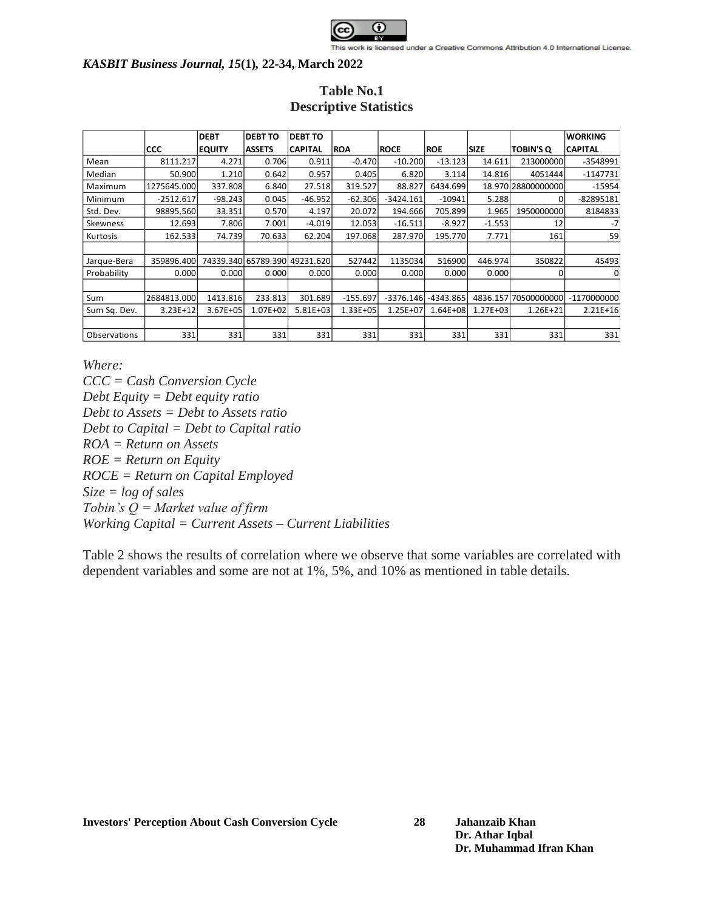

|              |             | <b>DEBT</b>   | <b>DEBT TO</b>                | <b>DEBT TO</b> |              |             |              |              |                      | <b>WORKING</b> |
|--------------|-------------|---------------|-------------------------------|----------------|--------------|-------------|--------------|--------------|----------------------|----------------|
|              | <b>CCC</b>  | <b>EQUITY</b> | <b>ASSETS</b>                 | <b>CAPITAL</b> | <b>ROA</b>   | <b>ROCE</b> | <b>ROE</b>   | <b>SIZE</b>  | <b>TOBIN'S Q</b>     | <b>CAPITAL</b> |
| Mean         | 8111.217    | 4.271         | 0.706                         | 0.911          | $-0.470$     | $-10.200$   | $-13.123$    | 14.611       | 213000000            | -3548991       |
| Median       | 50.900      | 1.210         | 0.642                         | 0.957          | 0.405        | 6.820       | 3.114        | 14.816       | 4051444              | $-1147731$     |
| Maximum      | 1275645.000 | 337.808       | 6.840                         | 27.518         | 319.527      | 88.827      | 6434.699     |              | 18.970 28800000000   | $-15954$       |
| Minimum      | $-2512.617$ | $-98.243$     | 0.045                         | $-46.952$      | $-62.306$    | $-3424.161$ | $-10941$     | 5.288        | 0                    | -82895181      |
| Std. Dev.    | 98895.560   | 33.351        | 0.570                         | 4.197          | 20.072       | 194.666     | 705.899      | 1.965        | 1950000000           | 8184833        |
| Skewness     | 12.693      | 7.806         | 7.001                         | $-4.019$       | 12.053       | $-16.511$   | $-8.927$     | $-1.553$     | 12                   | $-7$           |
| Kurtosis     | 162.533     | 74.739        | 70.633                        | 62.204         | 197.068      | 287.970     | 195.770      | 7.771        | 161                  | 59             |
|              |             |               |                               |                |              |             |              |              |                      |                |
| Jarque-Bera  | 359896.400  |               | 74339.340 65789.390 49231.620 |                | 527442       | 1135034     | 516900       | 446.974      | 350822               | 45493          |
| Probability  | 0.0001      | 0.0001        | 0.0001                        | 0.000          | 0.000        | 0.000       | 0.000        | 0.000        | 0                    | 0              |
|              |             |               |                               |                |              |             |              |              |                      |                |
| Sum          | 2684813.000 | 1413.816      | 233.813                       | 301.689        | $-155.697$   | $-3376.146$ | -4343.865    |              | 4836.157 70500000000 | -1170000000    |
| Sum Sq. Dev. | $3.23E+12$  | 3.67E+05      | 1.07E+02                      | $5.81E + 03$   | $1.33E + 05$ | 1.25E+07    | $1.64E + 08$ | $1.27E + 03$ | $1.26E + 21$         | $2.21E+16$     |
|              |             |               |                               |                |              |             |              |              |                      |                |
| Observations | 331         | 331           | 331                           | 331            | 331          | 331         | 331          | 331          | 331                  | 331            |

# **Table No.1 Descriptive Statistics**

*Where:*

*CCC = Cash Conversion Cycle Debt Equity = Debt equity ratio Debt to Assets = Debt to Assets ratio Debt to Capital = Debt to Capital ratio ROA = Return on Assets ROE = Return on Equity ROCE = Return on Capital Employed Size = log of sales Tobin's Q = Market value of firm Working Capital = Current Assets – Current Liabilities*

Table 2 shows the results of correlation where we observe that some variables are correlated with dependent variables and some are not at 1%, 5%, and 10% as mentioned in table details.

**Investors' Perception About Cash Conversion Cycle 28 Jahanzaib Khan**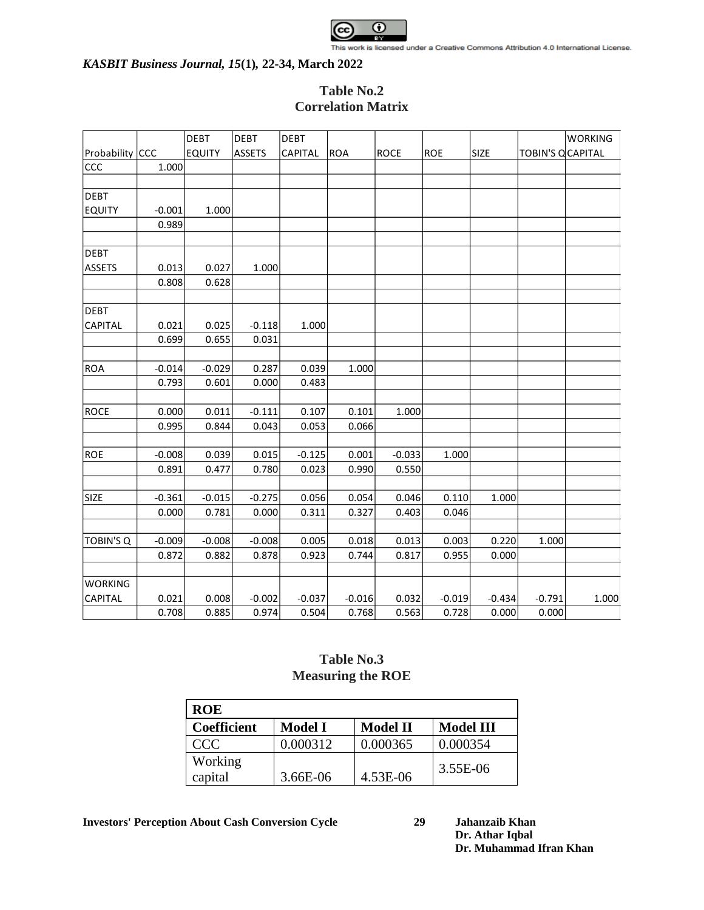

# **Table No.2 Correlation Matrix**

|                  |          | <b>DEBT</b>   | DEBT          | <b>DEBT</b>    |            |             |            |             |                          | <b>WORKING</b> |
|------------------|----------|---------------|---------------|----------------|------------|-------------|------------|-------------|--------------------------|----------------|
| Probability CCC  |          | <b>EQUITY</b> | <b>ASSETS</b> | <b>CAPITAL</b> | <b>ROA</b> | <b>ROCE</b> | <b>ROE</b> | <b>SIZE</b> | <b>TOBIN'S Q CAPITAL</b> |                |
| ccc              | 1.000    |               |               |                |            |             |            |             |                          |                |
|                  |          |               |               |                |            |             |            |             |                          |                |
| <b>DEBT</b>      |          |               |               |                |            |             |            |             |                          |                |
| <b>EQUITY</b>    | $-0.001$ | 1.000         |               |                |            |             |            |             |                          |                |
|                  | 0.989    |               |               |                |            |             |            |             |                          |                |
|                  |          |               |               |                |            |             |            |             |                          |                |
| <b>DEBT</b>      |          |               |               |                |            |             |            |             |                          |                |
| <b>ASSETS</b>    | 0.013    | 0.027         | 1.000         |                |            |             |            |             |                          |                |
|                  | 0.808    | 0.628         |               |                |            |             |            |             |                          |                |
| <b>DEBT</b>      |          |               |               |                |            |             |            |             |                          |                |
| CAPITAL          | 0.021    | 0.025         | $-0.118$      | 1.000          |            |             |            |             |                          |                |
|                  | 0.699    | 0.655         | 0.031         |                |            |             |            |             |                          |                |
|                  |          |               |               |                |            |             |            |             |                          |                |
| <b>ROA</b>       | $-0.014$ | $-0.029$      | 0.287         | 0.039          | 1.000      |             |            |             |                          |                |
|                  | 0.793    | 0.601         | 0.000         | 0.483          |            |             |            |             |                          |                |
| <b>ROCE</b>      | 0.000    | 0.011         | $-0.111$      | 0.107          | 0.101      | 1.000       |            |             |                          |                |
|                  | 0.995    | 0.844         | 0.043         | 0.053          | 0.066      |             |            |             |                          |                |
|                  |          |               |               |                |            |             |            |             |                          |                |
| <b>ROE</b>       | $-0.008$ | 0.039         | 0.015         | $-0.125$       | 0.001      | $-0.033$    | 1.000      |             |                          |                |
|                  | 0.891    | 0.477         | 0.780         | 0.023          | 0.990      | 0.550       |            |             |                          |                |
|                  |          |               |               |                |            |             |            |             |                          |                |
| <b>SIZE</b>      | $-0.361$ | $-0.015$      | $-0.275$      | 0.056          | 0.054      | 0.046       | 0.110      | 1.000       |                          |                |
|                  | 0.000    | 0.781         | 0.000         | 0.311          | 0.327      | 0.403       | 0.046      |             |                          |                |
|                  |          |               |               |                |            |             |            |             |                          |                |
| <b>TOBIN'S Q</b> | $-0.009$ | $-0.008$      | $-0.008$      | 0.005          | 0.018      | 0.013       | 0.003      | 0.220       | 1.000                    |                |
|                  | 0.872    | 0.882         | 0.878         | 0.923          | 0.744      | 0.817       | 0.955      | 0.000       |                          |                |
|                  |          |               |               |                |            |             |            |             |                          |                |
| <b>WORKING</b>   |          |               |               |                |            |             |            |             |                          |                |
| <b>CAPITAL</b>   | 0.021    | 0.008         | $-0.002$      | $-0.037$       | $-0.016$   | 0.032       | $-0.019$   | $-0.434$    | $-0.791$                 | 1.000          |
|                  | 0.708    | 0.885         | 0.974         | 0.504          | 0.768      | 0.563       | 0.728      | 0.000       | 0.000                    |                |

# **Table No.3 Measuring the ROE**

| <b>ROE</b>         |                |                 |                  |  |  |  |
|--------------------|----------------|-----------------|------------------|--|--|--|
| <b>Coefficient</b> | <b>Model I</b> | <b>Model II</b> | <b>Model III</b> |  |  |  |
| CCC                | 0.000312       | 0.000365        | 0.000354         |  |  |  |
| Working<br>capital | 3.66E-06       | 4.53E-06        | 3.55E-06         |  |  |  |

**Investors' Perception About Cash Conversion Cycle 29 Jahanzaib Khan**

**Dr. Athar Iqbal Dr. Muhammad Ifran Khan**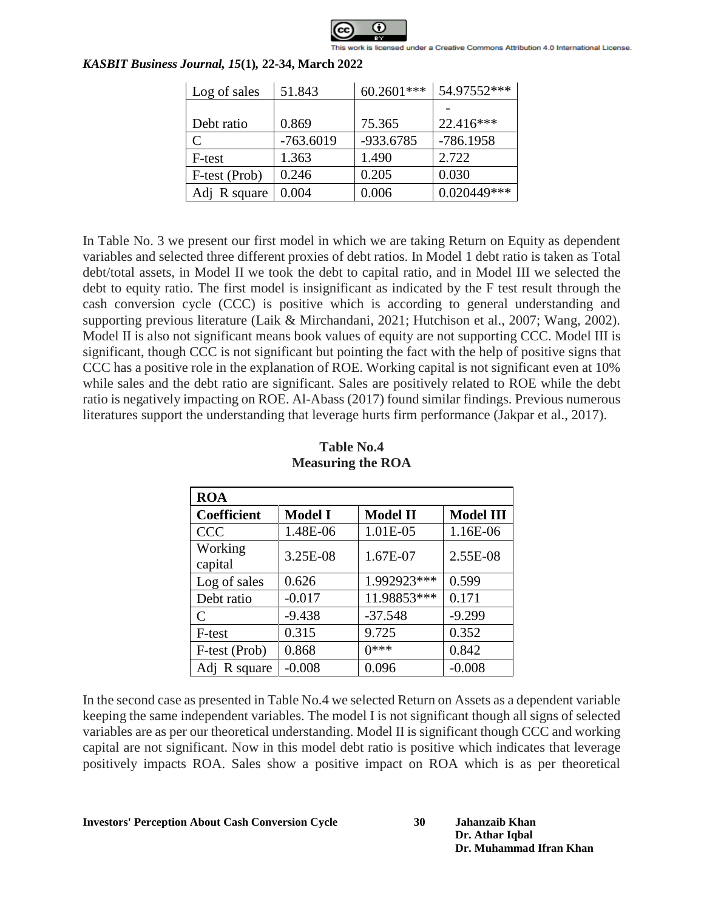

| Log of sales    | 51.843      | 60.2601*** | 54.97552*** |
|-----------------|-------------|------------|-------------|
|                 |             |            |             |
| Debt ratio      | 0.869       | 75.365     | 22.416***   |
| C               | $-763.6019$ | -933.6785  | $-786.1958$ |
| F-test          | 1.363       | 1.490      | 2.722       |
| F-test (Prob)   | 0.246       | 0.205      | 0.030       |
| R square<br>Adi | 0.004       | 0.006      | 0.020449*** |

In Table No. 3 we present our first model in which we are taking Return on Equity as dependent variables and selected three different proxies of debt ratios. In Model 1 debt ratio is taken as Total debt/total assets, in Model II we took the debt to capital ratio, and in Model III we selected the debt to equity ratio. The first model is insignificant as indicated by the F test result through the cash conversion cycle (CCC) is positive which is according to general understanding and supporting previous literature (Laik & Mirchandani, 2021; Hutchison et al., 2007; Wang, 2002). Model II is also not significant means book values of equity are not supporting CCC. Model III is significant, though CCC is not significant but pointing the fact with the help of positive signs that CCC has a positive role in the explanation of ROE. Working capital is not significant even at 10% while sales and the debt ratio are significant. Sales are positively related to ROE while the debt ratio is negatively impacting on ROE. Al-Abass (2017) found similar findings. Previous numerous literatures support the understanding that leverage hurts firm performance (Jakpar et al., 2017).

| <b>ROA</b>         |                |                 |                  |
|--------------------|----------------|-----------------|------------------|
| <b>Coefficient</b> | <b>Model I</b> | <b>Model II</b> | <b>Model III</b> |
| <b>CCC</b>         | 1.48E-06       | 1.01E-05        | 1.16E-06         |
| Working<br>capital | 3.25E-08       | 1.67E-07        | 2.55E-08         |
| Log of sales       | 0.626          | 1.992923***     | 0.599            |
| Debt ratio         | $-0.017$       | 11.98853***     | 0.171            |
| $\subset$          | $-9.438$       | $-37.548$       | $-9.299$         |
| F-test             | 0.315          | 9.725           | 0.352            |
| F-test (Prob)      | 0.868          | $0***$          | 0.842            |
| Adj R square       | $-0.008$       | 0.096           | $-0.008$         |

# **Table No.4 Measuring the ROA**

In the second case as presented in Table No.4 we selected Return on Assets as a dependent variable keeping the same independent variables. The model I is not significant though all signs of selected variables are as per our theoretical understanding. Model II is significant though CCC and working capital are not significant. Now in this model debt ratio is positive which indicates that leverage positively impacts ROA. Sales show a positive impact on ROA which is as per theoretical

**Dr. Athar Iqbal Dr. Muhammad Ifran Khan**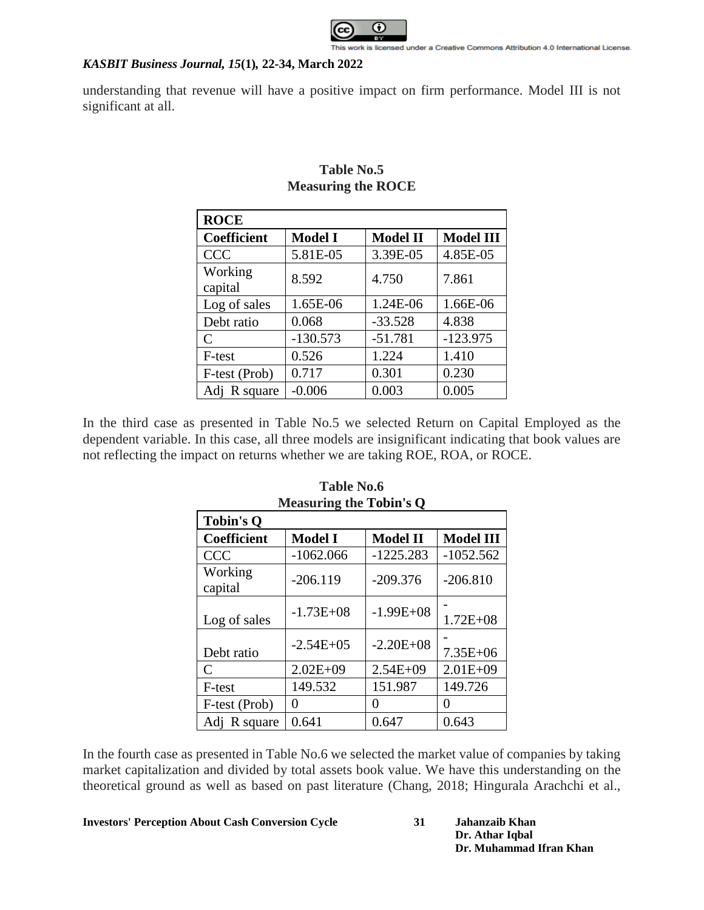

understanding that revenue will have a positive impact on firm performance. Model III is not significant at all.

| <b>ROCE</b>                 |                |                 |                  |
|-----------------------------|----------------|-----------------|------------------|
| Coefficient                 | <b>Model I</b> | <b>Model II</b> | <b>Model III</b> |
| <b>CCC</b>                  | 5.81E-05       | 3.39E-05        | 4.85E-05         |
| Working<br>capital          | 8.592          | 4.750           | 7.861            |
| Log of sales                | 1.65E-06       | 1.24E-06        | 1.66E-06         |
| Debt ratio                  | 0.068          | $-33.528$       | 4.838            |
| $\mathcal{C}_{\mathcal{C}}$ | $-130.573$     | $-51.781$       | $-123.975$       |
| F-test                      | 0.526          | 1.224           | 1.410            |
| F-test (Prob)               | 0.717          | 0.301           | 0.230            |
| Adj R square                | $-0.006$       | 0.003           | 0.005            |

# **Table No.5 Measuring the ROCE**

In the third case as presented in Table No.5 we selected Return on Capital Employed as the dependent variable. In this case, all three models are insignificant indicating that book values are not reflecting the impact on returns whether we are taking ROE, ROA, or ROCE.

| <b>Measuring the Tobin's Q</b> |                   |                 |                  |  |  |  |
|--------------------------------|-------------------|-----------------|------------------|--|--|--|
| <b>Tobin's Q</b>               |                   |                 |                  |  |  |  |
| <b>Coefficient</b>             | <b>Model I</b>    | <b>Model II</b> | <b>Model III</b> |  |  |  |
| <b>CCC</b>                     | $-1062.066$       | $-1225.283$     | $-1052.562$      |  |  |  |
| Working<br>capital             | $-206.119$        | $-209.376$      | $-206.810$       |  |  |  |
| Log of sales                   | $-1.73E + 08$     | $-1.99E + 08$   | $1.72E + 08$     |  |  |  |
| Debt ratio                     | $-2.54E+05$       | $-2.20E + 08$   | $7.35E + 06$     |  |  |  |
| $\mathcal{C}_{\mathcal{C}}$    | $2.02E + 09$      | $2.54E + 09$    | $2.01E + 09$     |  |  |  |
| F-test                         | 149.532           | 151.987         | 149.726          |  |  |  |
| F-test (Prob)                  | $\mathbf{\Omega}$ | Ω               | 0                |  |  |  |
| Adj R square                   | 0.641             | 0.647           | 0.643            |  |  |  |

## **Table No.6 Measuring the Tobin's Q**

In the fourth case as presented in Table No.6 we selected the market value of companies by taking market capitalization and divided by total assets book value. We have this understanding on the theoretical ground as well as based on past literature (Chang, 2018; Hingurala Arachchi et al.,

### **Investors' Perception About Cash Conversion Cycle 31 Jahanzaib Khan**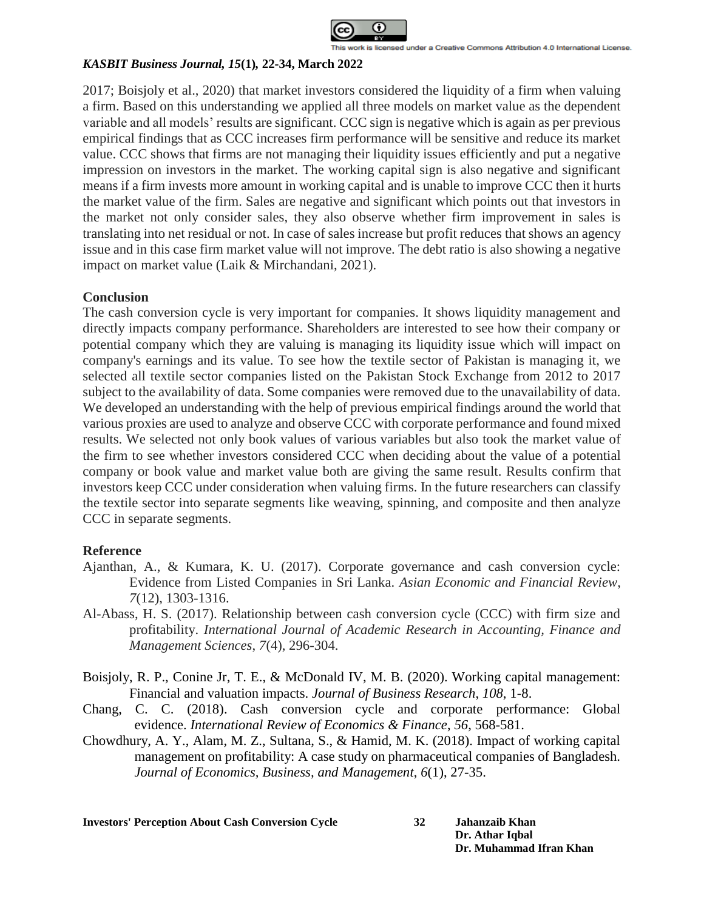

2017; Boisjoly et al., 2020) that market investors considered the liquidity of a firm when valuing a firm. Based on this understanding we applied all three models on market value as the dependent variable and all models' results are significant. CCC sign is negative which is again as per previous empirical findings that as CCC increases firm performance will be sensitive and reduce its market value. CCC shows that firms are not managing their liquidity issues efficiently and put a negative impression on investors in the market. The working capital sign is also negative and significant means if a firm invests more amount in working capital and is unable to improve CCC then it hurts the market value of the firm. Sales are negative and significant which points out that investors in the market not only consider sales, they also observe whether firm improvement in sales is translating into net residual or not. In case of sales increase but profit reduces that shows an agency issue and in this case firm market value will not improve. The debt ratio is also showing a negative impact on market value (Laik & Mirchandani, 2021).

### **Conclusion**

The cash conversion cycle is very important for companies. It shows liquidity management and directly impacts company performance. Shareholders are interested to see how their company or potential company which they are valuing is managing its liquidity issue which will impact on company's earnings and its value. To see how the textile sector of Pakistan is managing it, we selected all textile sector companies listed on the Pakistan Stock Exchange from 2012 to 2017 subject to the availability of data. Some companies were removed due to the unavailability of data. We developed an understanding with the help of previous empirical findings around the world that various proxies are used to analyze and observe CCC with corporate performance and found mixed results. We selected not only book values of various variables but also took the market value of the firm to see whether investors considered CCC when deciding about the value of a potential company or book value and market value both are giving the same result. Results confirm that investors keep CCC under consideration when valuing firms. In the future researchers can classify the textile sector into separate segments like weaving, spinning, and composite and then analyze CCC in separate segments.

### **Reference**

- Ajanthan, A., & Kumara, K. U. (2017). Corporate governance and cash conversion cycle: Evidence from Listed Companies in Sri Lanka. *Asian Economic and Financial Review*, *7*(12), 1303-1316.
- Al-Abass, H. S. (2017). Relationship between cash conversion cycle (CCC) with firm size and profitability. *International Journal of Academic Research in Accounting, Finance and Management Sciences*, *7*(4), 296-304.
- Boisjoly, R. P., Conine Jr, T. E., & McDonald IV, M. B. (2020). Working capital management: Financial and valuation impacts. *Journal of Business Research*, *108*, 1-8.
- Chang, C. C. (2018). Cash conversion cycle and corporate performance: Global evidence. *International Review of Economics & Finance*, *56*, 568-581.
- Chowdhury, A. Y., Alam, M. Z., Sultana, S., & Hamid, M. K. (2018). Impact of working capital management on profitability: A case study on pharmaceutical companies of Bangladesh. *Journal of Economics, Business, and Management*, *6*(1), 27-35.

**Investors' Perception About Cash Conversion Cycle 32 Jahanzaib Khan**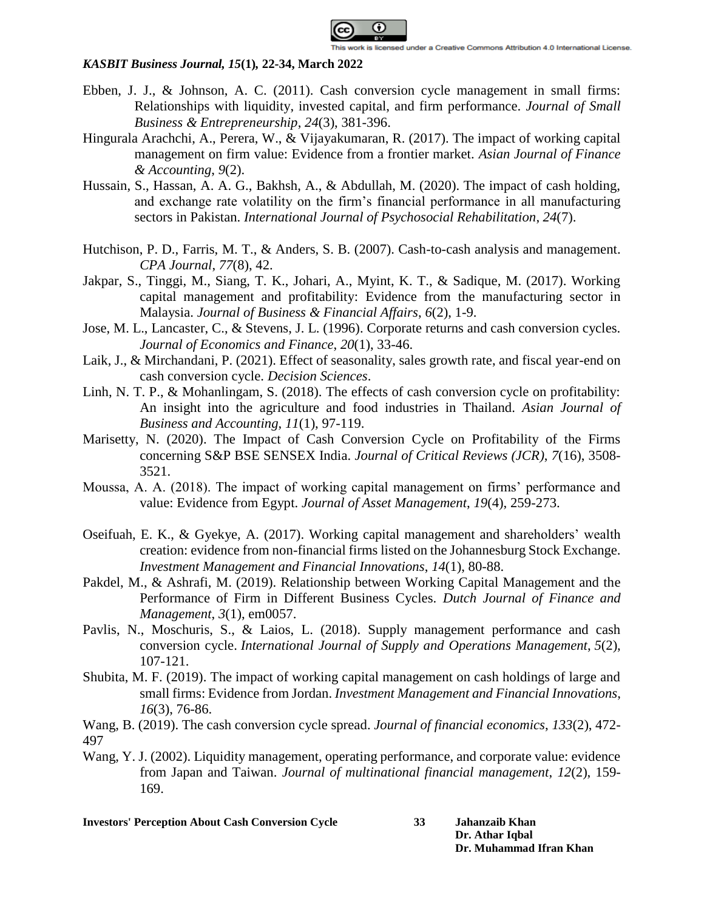

- Ebben, J. J., & Johnson, A. C. (2011). Cash conversion cycle management in small firms: Relationships with liquidity, invested capital, and firm performance. *Journal of Small Business & Entrepreneurship*, *24*(3), 381-396.
- Hingurala Arachchi, A., Perera, W., & Vijayakumaran, R. (2017). The impact of working capital management on firm value: Evidence from a frontier market. *Asian Journal of Finance & Accounting*, *9*(2).
- Hussain, S., Hassan, A. A. G., Bakhsh, A., & Abdullah, M. (2020). The impact of cash holding, and exchange rate volatility on the firm's financial performance in all manufacturing sectors in Pakistan. *International Journal of Psychosocial Rehabilitation*, *24*(7).
- Hutchison, P. D., Farris, M. T., & Anders, S. B. (2007). Cash-to-cash analysis and management. *CPA Journal*, *77*(8), 42.
- Jakpar, S., Tinggi, M., Siang, T. K., Johari, A., Myint, K. T., & Sadique, M. (2017). Working capital management and profitability: Evidence from the manufacturing sector in Malaysia. *Journal of Business & Financial Affairs*, *6*(2), 1-9.
- Jose, M. L., Lancaster, C., & Stevens, J. L. (1996). Corporate returns and cash conversion cycles. *Journal of Economics and Finance*, *20*(1), 33-46.
- Laik, J., & Mirchandani, P. (2021). Effect of seasonality, sales growth rate, and fiscal year-end on cash conversion cycle. *Decision Sciences*.
- Linh, N. T. P., & Mohanlingam, S. (2018). The effects of cash conversion cycle on profitability: An insight into the agriculture and food industries in Thailand. *Asian Journal of Business and Accounting*, *11*(1), 97-119.
- Marisetty, N. (2020). The Impact of Cash Conversion Cycle on Profitability of the Firms concerning S&P BSE SENSEX India. *Journal of Critical Reviews (JCR)*, *7*(16), 3508- 3521.
- Moussa, A. A. (2018). The impact of working capital management on firms' performance and value: Evidence from Egypt. *Journal of Asset Management*, *19*(4), 259-273.
- Oseifuah, E. K., & Gyekye, A. (2017). Working capital management and shareholders' wealth creation: evidence from non-financial firms listed on the Johannesburg Stock Exchange. *Investment Management and Financial Innovations*, *14*(1), 80-88.
- Pakdel, M., & Ashrafi, M. (2019). Relationship between Working Capital Management and the Performance of Firm in Different Business Cycles. *Dutch Journal of Finance and Management*, *3*(1), em0057.
- Pavlis, N., Moschuris, S., & Laios, L. (2018). Supply management performance and cash conversion cycle. *International Journal of Supply and Operations Management*, *5*(2), 107-121.
- Shubita, M. F. (2019). The impact of working capital management on cash holdings of large and small firms: Evidence from Jordan. *Investment Management and Financial Innovations*, *16*(3), 76-86.
- Wang, B. (2019). The cash conversion cycle spread. *Journal of financial economics*, *133*(2), 472- 497
- Wang, Y. J. (2002). Liquidity management, operating performance, and corporate value: evidence from Japan and Taiwan. *Journal of multinational financial management*, *12*(2), 159- 169.

**Investors' Perception About Cash Conversion Cycle 33 Jahanzaib Khan**

**Dr. Athar Iqbal Dr. Muhammad Ifran Khan**